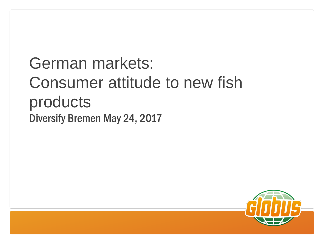German markets: Consumer attitude to new fish products Diversify Bremen May 24, 2017

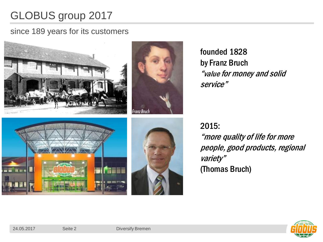# GLOBUS group 2017

### since 189 years for its customers



founded 1828 by Franz Bruch "value for money and solid service"

2015: "more quality of life for more people, good products, regional variety" (Thomas Bruch)

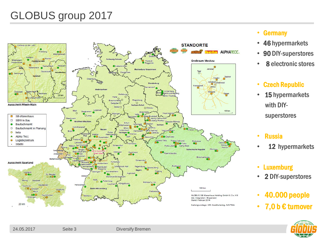# GLOBUS group 2017



- Germany
- 46 hypermarkets
- 90 DIY-superstores
- 8 electronic stores

### • Czech Republic

- 15 hypermarkets with DIY superstores
- Russia
- 12 hypermarkets
- Luxemburg
- 2 DIY-superstores
- 40.000 people
- 7,0 b  $\epsilon$  turnover

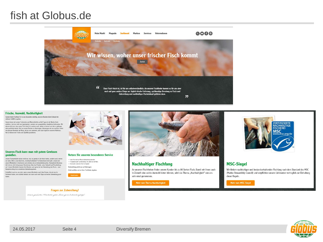### fish at Globus.de



#### Frische, Auswahl, Nachhaltigkeit

Gerade beim Fischkauf ist es uns besonders wichtig, unseren Kunden beim Einkauf ein sicheres Gefühl zu geben.

Darum lassen wir unsere Fischsorten und Meeresfrüchte an fünf Tagen in der Woche frisch anliefern. Und das nicht von ingendwoher, sondern von ausgewählten, bewährten Lieferanten. Wir oder gezüchtet wurde. Und um unsere Kunden zu überzeugen, überzeugen wir uns zunächst selbst: mit genauer Kontrolle der Ware, die bei uns ankommt, aber auch täglich in unserem Kühlhaus. Nur so können wir Frische und Qualität garantieren.

#### Unseren Fisch kann man mit gutem Gewissen genießen.

Unsere Fischverkäufer wissen nicht nur, was sie gerade in der Hand halten, sondern auch, wovon<br>sie reden. Weil es den Berut des "Fischfachverkäufers" in Deutschland nicht gibt, schulen wir unsere Mitarbeiter in Seminaren und schicken sie zu Lieferantenbesuchen. Kompetente Beratung hört bei uns nicht bei genauen Kenntnissen über das Produkt, seine Herkunft und Verarbeitung auf: Unsere Mitarbeiter beraten ihre Kunden auch gerne bei der Zubereitung des Fischs - vom Rezentvorschlag bis zu konkreten Zubereitungsideen

Schließlich macht es uns stolz, wenn unsere Mitarbeiter auch über Exoten, die wir neu im Sortiment haben, viel erzählen können und dann auch noch Tipps zur besten Zubereitung parat haben.



#### Nutzen Sie unseren besonderen Service

· Jeder Fisch wird auf Wunsch küchenfertig zubereiter · Fischplatten gibt's auf Bestellung, Sie zahlen nur die Ware. · (Fast) jeder exotischer Fisch im Angebot

Vorbestellung nicht nur an Feiertagen: Zettel ausfüllen und an Ihrer Fischtheke abgeben.





### **Nachhaltiger Fischfang**

An unseren Fischtheken finden unsere Kunden bis zu 80 Sorten Fisch. Damit wir ihnen auch in Zukunft eine solche Auswahl bieten können, wird das Thema "Nachhaltigkeit" von uns sehr ernst genommen.

Mehr zum Thema Nachhaltigkeit



### **MSC-Siegel**

Wir fördern nachhaltigen und bestandserhaltenden Fischfang nach dem Standard des MSC (Marine Stewardship Council) und verpflichten unsere Lieferanten vertraglich zur Einhaltung dieser Regeln.

### Mehr zum MSC-Siegel



**Fragen zur Zubereitung?** 

Unsere geschulten Mitarbeiter geben Ihren gerne Zubereitungstipps!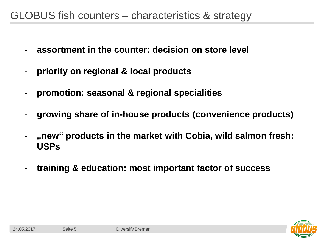### GLOBUS fish counters – characteristics & strategy

- **assortment in the counter: decision on store level**
- **priority on regional & local products**
- **promotion: seasonal & regional specialities**
- **growing share of in-house products (convenience products)**
- **"new" products in the market with Cobia, wild salmon fresh: USPs**
- **training & education: most important factor of success**

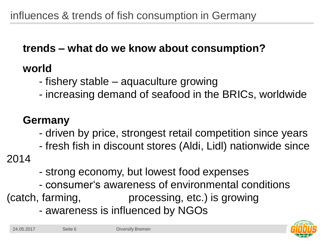# **trends – what do we know about consumption?**

## **world**

- fishery stable aquaculture growing
- increasing demand of seafood in the BRICs, worldwide

# **Germany**

- driven by price, strongest retail competition since years
- fresh fish in discount stores (Aldi, Lidl) nationwide since

2014

- strong economy, but lowest food expenses
- consumer's awareness of environmental conditions (catch, farming, processing, etc.) is growing
	- awareness is influenced by NGOs

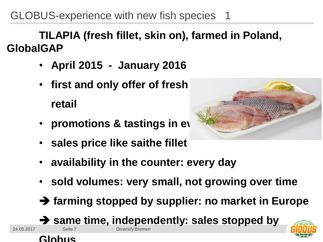GLOBUS-experience with new fish species 1

**TILAPIA (fresh fillet, skin on), farmed in Poland, GlobalGAP**

- **April 2015 January 2016**
- **first and only offer of fresh tilapia fillet in German retail**
- **promotions & tastings in every**
- **sales price like saithe fillet**
- **availability in the counter: every day**
- **sold volumes: very small, not growing over time**
- **farming stopped by supplier: no market in Europe**

**same time, independently: sales stopped by**





24.05.2017 Seite 7 Diversify Bremen

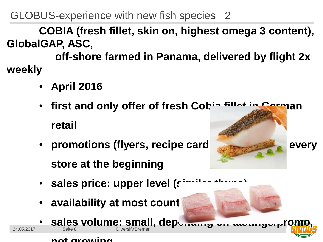GLOBUS-experience with new fish species 2

**COBIA (fresh fillet, skin on, highest omega 3 content), GlobalGAP, ASC,**

**off-shore farmed in Panama, delivered by flight 2x weekly**

- **April 2016**
- **first and only offer of fresh Cobia fillet in German retail**
- **promotions** (flyers, recipe card **store at the beginning**
- **sales price: upper level (similar thuna)**
- **availability at most count**

• **sales volume: small, depending on tastings/promo,** 



### **not growing**

24.05.2017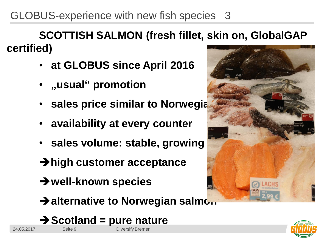GLOBUS-experience with new fish species 3

**SCOTTISH SALMON (fresh fillet, skin on, GlobalGAP certified)**

- **at GLOBUS since April 2016**
- **"usual" promotion**
- **sales price similar to Norwegia**
- **availability at every counter**
- **sales volume: stable, growing**
- **high customer acceptance**
- **well-known species**
- $\rightarrow$  **alternative to Norwegian salmon**
- 24.05.2017 Seite 9 Diversify Bremen **→ Scotland = pure nature**



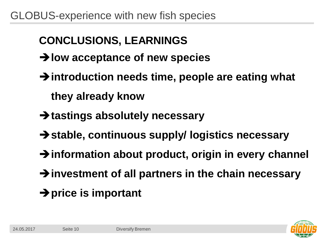# **CONCLUSIONS, LEARNINGS**

- **low acceptance of new species**
- **introduction needs time, people are eating what they already know**
- **tastings absolutely necessary**
- **stable, continuous supply/ logistics necessary**
- **information about product, origin in every channel**
- **investment of all partners in the chain necessary**
- **price is important**